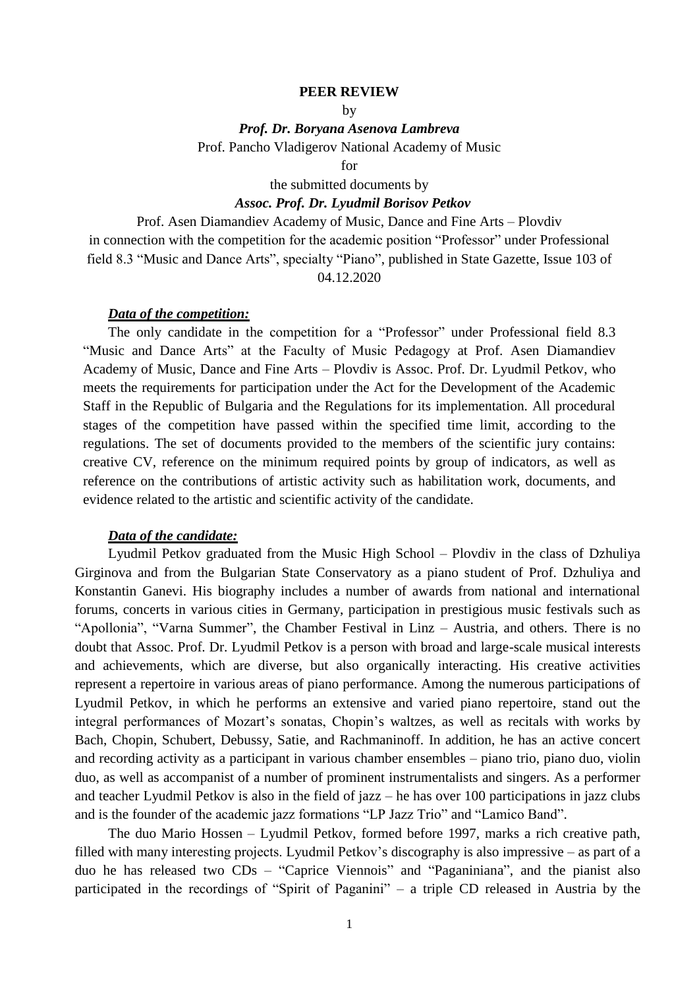#### **PEER REVIEW**

by

*Prof. Dr. Boryana Asenova Lambreva*

Prof. Pancho Vladigerov National Academy of Music

for

the submitted documents by

### *Assoc. Prof. Dr. Lyudmil Borisov Petkov*

Prof. Asen Diamandiev Academy of Music, Dance and Fine Arts – Plovdiv in connection with the competition for the academic position "Professor" under Professional field 8.3 "Music and Dance Arts", specialty "Piano", published in State Gazette, Issue 103 of 04.12.2020

### *Data of the competition:*

The only candidate in the competition for a "Professor" under Professional field 8.3 "Music and Dance Arts" at the Faculty of Music Pedagogy at Prof. Asen Diamandiev Academy of Music, Dance and Fine Arts – Plovdiv is Assoc. Prof. Dr. Lyudmil Petkov, who meets the requirements for participation under the Act for the Development of the Academic Staff in the Republic of Bulgaria and the Regulations for its implementation. All procedural stages of the competition have passed within the specified time limit, according to the regulations. The set of documents provided to the members of the scientific jury contains: creative CV, reference on the minimum required points by group of indicators, as well as reference on the contributions of artistic activity such as habilitation work, documents, and evidence related to the artistic and scientific activity of the candidate.

## *Data of the candidate:*

Lyudmil Petkov graduated from the Music High School – Plovdiv in the class of Dzhuliya Girginova and from the Bulgarian State Conservatory as a piano student of Prof. Dzhuliya and Konstantin Ganevi. His biography includes a number of awards from national and international forums, concerts in various cities in Germany, participation in prestigious music festivals such as "Apollonia", "Varna Summer", the Chamber Festival in Linz – Austria, and others. There is no doubt that Assoc. Prof. Dr. Lyudmil Petkov is a person with broad and large-scale musical interests and achievements, which are diverse, but also organically interacting. His creative activities represent a repertoire in various areas of piano performance. Among the numerous participations of Lyudmil Petkov, in which he performs an extensive and varied piano repertoire, stand out the integral performances of Mozart's sonatas, Chopin's waltzes, as well as recitals with works by Bach, Chopin, Schubert, Debussy, Satie, and Rachmaninoff. In addition, he has an active concert and recording activity as a participant in various chamber ensembles – piano trio, piano duo, violin duo, as well as accompanist of a number of prominent instrumentalists and singers. As a performer and teacher Lyudmil Petkov is also in the field of jazz – he has over 100 participations in jazz clubs and is the founder of the academic jazz formations "LP Jazz Trio" and "Lamico Band".

The duo Mario Hossen – Lyudmil Petkov, formed before 1997, marks a rich creative path, filled with many interesting projects. Lyudmil Petkov's discography is also impressive – as part of a duo he has released two CDs – "Caprice Viennois" and "Paganiniana", and the pianist also participated in the recordings of "Spirit of Paganini" – a triple CD released in Austria by the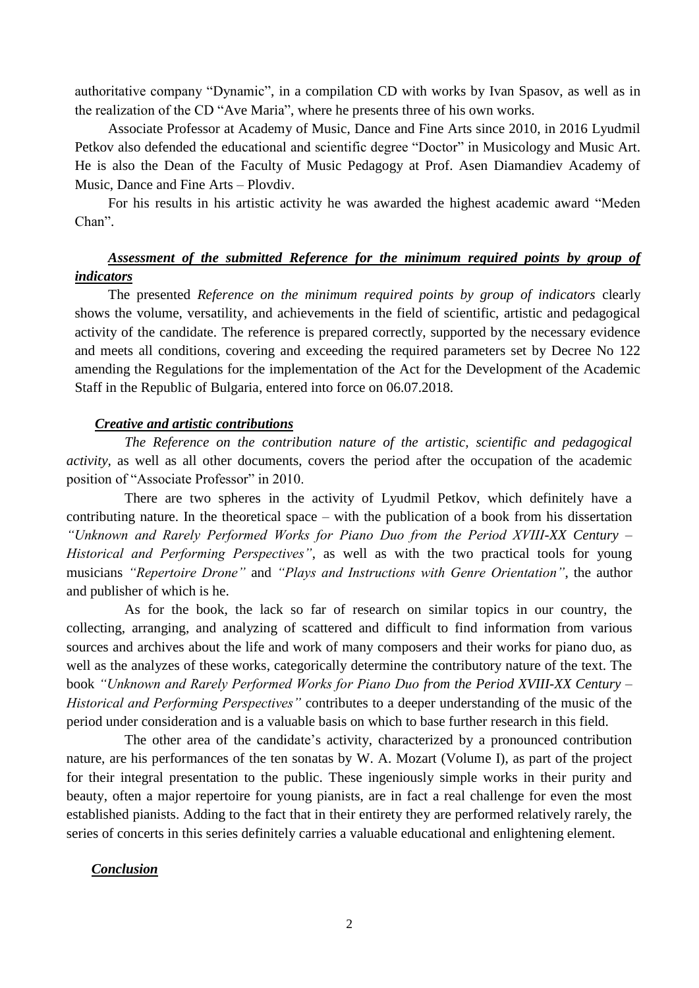authoritative company "Dynamic", in a compilation CD with works by Ivan Spasov, as well as in the realization of the CD "Ave Maria", where he presents three of his own works.

Associate Professor at Academy of Music, Dance and Fine Arts since 2010, in 2016 Lyudmil Petkov also defended the educational and scientific degree "Doctor" in Musicology and Music Art. He is also the Dean of the Faculty of Music Pedagogy at Prof. Asen Diamandiev Academy of Music, Dance and Fine Arts – Plovdiv.

For his results in his artistic activity he was awarded the highest academic award "Meden Chan".

# *Assessment of the submitted Reference for the minimum required points by group of indicators*

The presented *Reference on the minimum required points by group of indicators* clearly shows the volume, versatility, and achievements in the field of scientific, artistic and pedagogical activity of the candidate. The reference is prepared correctly, supported by the necessary evidence and meets all conditions, covering and exceeding the required parameters set by Decree No 122 amending the Regulations for the implementation of the Act for the Development of the Academic Staff in the Republic of Bulgaria, entered into force on 06.07.2018.

### *Creative and artistic contributions*

*The Reference on the contribution nature of the artistic, scientific and pedagogical activity*, as well as all other documents, covers the period after the occupation of the academic position of "Associate Professor" in 2010.

There are two spheres in the activity of Lyudmil Petkov, which definitely have a contributing nature. In the theoretical space – with the publication of a book from his dissertation *"Unknown and Rarely Performed Works for Piano Duo from the Period XVIII-XX Century – Historical and Performing Perspectives"*, as well as with the two practical tools for young musicians *"Repertoire Drone"* and *"Plays and Instructions with Genre Orientation"*, the author and publisher of which is he.

As for the book, the lack so far of research on similar topics in our country, the collecting, arranging, and analyzing of scattered and difficult to find information from various sources and archives about the life and work of many composers and their works for piano duo, as well as the analyzes of these works, categorically determine the contributory nature of the text. The book *"Unknown and Rarely Performed Works for Piano Duo from the Period XVIII-XX Century – Historical and Performing Perspectives"* contributes to a deeper understanding of the music of the period under consideration and is a valuable basis on which to base further research in this field.

The other area of the candidate's activity, characterized by a pronounced contribution nature, are his performances of the ten sonatas by W. A. Mozart (Volume I), as part of the project for their integral presentation to the public. These ingeniously simple works in their purity and beauty, often a major repertoire for young pianists, are in fact a real challenge for even the most established pianists. Adding to the fact that in their entirety they are performed relatively rarely, the series of concerts in this series definitely carries a valuable educational and enlightening element.

### *Conclusion*